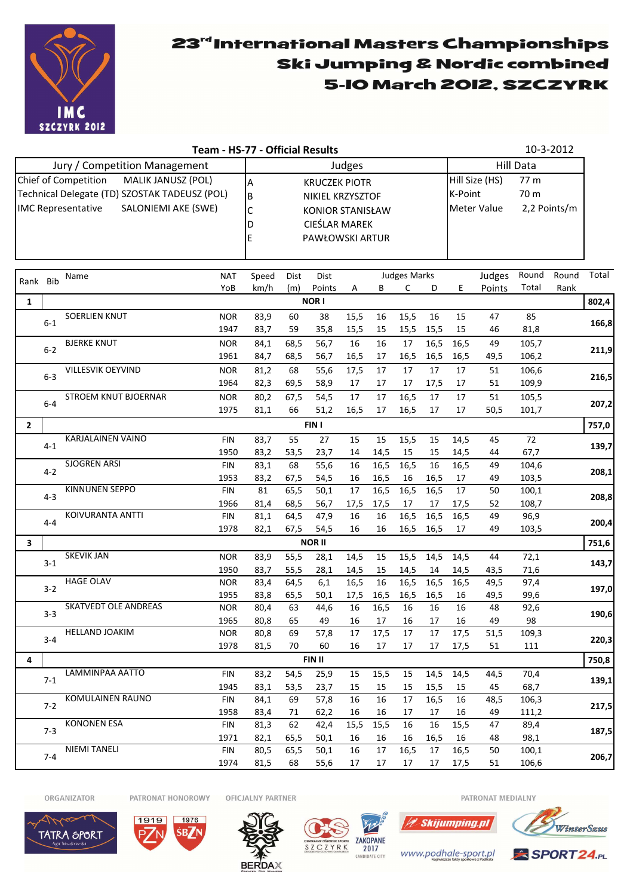

## 23rd International Masters Championships Ski Jumping & Nordic combined 5-IO March 2012, SZCZYRK

|                                                                                                   |         |                               | Team - HS-77 - Official Results |                                                       |                           |                 |          |          |              |            |                                       |                        |                  | 10-3-2012 |       |  |
|---------------------------------------------------------------------------------------------------|---------|-------------------------------|---------------------------------|-------------------------------------------------------|---------------------------|-----------------|----------|----------|--------------|------------|---------------------------------------|------------------------|------------------|-----------|-------|--|
|                                                                                                   |         | Jury / Competition Management |                                 |                                                       |                           |                 | Judges   |          |              |            |                                       |                        | <b>Hill Data</b> |           |       |  |
| MALIK JANUSZ (POL)<br>Chief of Competition                                                        |         |                               |                                 |                                                       | A<br><b>KRUCZEK PIOTR</b> |                 |          |          |              |            |                                       | Hill Size (HS)<br>77 m |                  |           |       |  |
| Technical Delegate (TD) SZOSTAK TADEUSZ (POL)<br><b>IMC Representative</b><br>SALONIEMI AKE (SWE) |         |                               |                                 | B<br>NIKIEL KRZYSZTOF<br>C<br><b>KONIOR STANISŁAW</b> |                           |                 |          |          |              |            | K-Point<br>70 m<br><b>Meter Value</b> |                        |                  |           |       |  |
|                                                                                                   |         |                               |                                 |                                                       |                           |                 |          |          |              |            |                                       |                        | 2,2 Points/m     |           |       |  |
|                                                                                                   |         |                               |                                 |                                                       | CIEŚLAR MAREK<br>ID       |                 |          |          |              |            |                                       |                        |                  |           |       |  |
|                                                                                                   |         |                               |                                 | E                                                     |                           | PAWŁOWSKI ARTUR |          |          |              |            |                                       |                        |                  |           |       |  |
|                                                                                                   |         |                               |                                 |                                                       |                           |                 |          |          |              |            |                                       |                        |                  |           |       |  |
|                                                                                                   |         |                               |                                 |                                                       |                           |                 |          |          |              |            |                                       |                        |                  |           |       |  |
| Rank Bib                                                                                          |         | Name                          | <b>NAT</b>                      | Speed                                                 | Dist                      | <b>Dist</b>     |          |          | Judges Marks |            |                                       | Judges                 | Round            | Round     | Total |  |
|                                                                                                   |         |                               | YoB                             | km/h                                                  | (m)                       | Points          | Α        | В        | C            | D          | E                                     | Points                 | Total            | Rank      |       |  |
| 1                                                                                                 |         |                               |                                 |                                                       |                           | <b>NORI</b>     |          |          |              |            |                                       |                        |                  |           | 802,4 |  |
|                                                                                                   |         | <b>SOERLIEN KNUT</b>          | <b>NOR</b>                      | 83,9                                                  | 60                        | 38              | 15,5     | 16       | 15,5         | 16         | 15                                    | 47                     | 85               |           |       |  |
|                                                                                                   | $6-1$   |                               | 1947                            | 83,7                                                  | 59                        | 35,8            | 15,5     | 15       | 15,5         | 15,5       | 15                                    | 46                     | 81,8             |           | 166,8 |  |
|                                                                                                   |         | <b>BJERKE KNUT</b>            | <b>NOR</b>                      | 84,1                                                  | 68,5                      | 56,7            | 16       | 16       | 17           | 16,5       | 16,5                                  | 49                     | 105,7            |           |       |  |
|                                                                                                   | $6 - 2$ |                               | 1961                            | 84,7                                                  | 68,5                      | 56,7            | 16,5     | 17       | 16,5         | 16,5       | 16,5                                  | 49,5                   | 106,2            |           | 211,9 |  |
|                                                                                                   |         | VILLESVIK OEYVIND             | <b>NOR</b>                      | 81,2                                                  | 68                        | 55,6            | 17,5     | 17       | 17           | 17         | 17                                    | 51                     | 106,6            |           |       |  |
|                                                                                                   | $6 - 3$ |                               | 1964                            | 82,3                                                  | 69,5                      | 58,9            | 17       | 17       | 17           | 17,5       | 17                                    | 51                     | 109,9            |           | 216,5 |  |
|                                                                                                   |         | <b>STROEM KNUT BJOERNAR</b>   | <b>NOR</b>                      | 80,2                                                  | 67,5                      | 54,5            | 17       | 17       | 16,5         | 17         | 17                                    | 51                     | 105,5            |           |       |  |
|                                                                                                   | $6 - 4$ |                               | 1975                            | 81,1                                                  | 66                        | 51,2            | 16,5     | 17       | 16,5         | 17         | 17                                    | 50,5                   | 101,7            |           | 207,2 |  |
| $\overline{2}$                                                                                    |         |                               |                                 |                                                       |                           | FIN I           |          |          |              |            |                                       |                        |                  |           | 757,0 |  |
|                                                                                                   |         | KARJALAINEN VAINO             | <b>FIN</b>                      | 83,7                                                  | 55                        | 27              | 15       | 15       | 15,5         | 15         | 14,5                                  | 45                     | 72               |           |       |  |
|                                                                                                   | 4-1     |                               | 1950                            | 83,2                                                  | 53,5                      | 23,7            | 14       | 14,5     | 15           | 15         | 14,5                                  | 44                     | 67,7             |           | 139,7 |  |
|                                                                                                   |         | <b>SJOGREN ARSI</b>           | <b>FIN</b>                      | 83,1                                                  | 68                        | 55,6            | 16       | 16,5     | 16,5         | 16         | 16,5                                  | 49                     | 104,6            |           |       |  |
|                                                                                                   | $4 - 2$ |                               | 1953                            | 83,2                                                  | 67,5                      | 54,5            | 16       | 16,5     | 16           | 16,5       | 17                                    | 49                     | 103,5            |           | 208,1 |  |
|                                                                                                   | $4 - 3$ | <b>KINNUNEN SEPPO</b>         | <b>FIN</b>                      | 81                                                    | 65,5                      | 50,1            | 17       | 16,5     | 16,5         | 16,5       | 17                                    | 50                     | 100,1            |           |       |  |
|                                                                                                   |         |                               | 1966                            | 81,4                                                  | 68,5                      | 56,7            | 17,5     | 17,5     | 17           | 17         | 17,5                                  | 52                     | 108,7            |           | 208,8 |  |
|                                                                                                   | $4 - 4$ | KOIVURANTA ANTTI              | FIN                             | 81,1                                                  | 64,5                      | 47,9            | 16       | 16       | 16,5         | 16,5       | 16,5                                  | 49                     | 96,9             |           | 200,4 |  |
|                                                                                                   |         |                               | 1978                            | 82,1                                                  | 67,5                      | 54,5            | 16       | 16       | 16,5         | 16,5       | 17                                    | 49                     | 103,5            |           |       |  |
| <b>NOR II</b><br>3                                                                                |         |                               |                                 |                                                       |                           |                 |          |          |              | 751,6      |                                       |                        |                  |           |       |  |
|                                                                                                   | $3 - 1$ | <b>SKEVIK JAN</b>             | <b>NOR</b>                      | 83,9                                                  | 55,5                      | 28,1            | 14,5     | 15       | 15,5         | 14,5       | 14,5                                  | 44                     | 72,1             |           | 143,7 |  |
|                                                                                                   |         |                               | 1950                            | 83,7                                                  | 55,5                      | 28,1            | 14,5     | 15       | 14,5         | 14         | 14,5                                  | 43,5                   | 71,6             |           |       |  |
|                                                                                                   | $3 - 2$ | <b>HAGE OLAV</b>              | <b>NOR</b>                      | 83,4                                                  | 64,5                      | 6,1             | 16,5     | 16       | 16,5         | 16,5       | 16,5                                  | 49,5                   | 97,4             |           | 197,0 |  |
|                                                                                                   |         |                               | 1955                            | 83,8                                                  | 65,5                      | 50,1            | 17,5     | 16,5     | 16,5         | 16,5       | 16                                    | 49,5                   | 99,6             |           |       |  |
|                                                                                                   | $3 - 3$ | <b>SKATVEDT OLE ANDREAS</b>   | <b>NOR</b>                      | 80,4                                                  | 63                        | 44,6            | 16       | 16,5     | 16           | 16         | 16                                    | 48                     | 92,6             |           | 190,6 |  |
|                                                                                                   |         |                               | 1965                            | 80,8                                                  | 65                        | 49              | 16       | 17       | 16           | 17         | 16                                    | 49                     | 98               |           |       |  |
|                                                                                                   | $3 - 4$ | HELLAND JOAKIM                | <b>NOR</b>                      | 80,8                                                  | 69                        | 57,8            | 17       | 17,5     | 17           | 17         | 17,5                                  | 51,5                   | 109,3            |           | 220,3 |  |
|                                                                                                   |         |                               | 1978                            | 81,5                                                  | 70                        | 60              | 16       | 17       | 17           | 17         | 17,5                                  | 51                     | 111              |           |       |  |
| 4                                                                                                 |         |                               |                                 |                                                       |                           | FIN II          |          |          |              |            |                                       |                        |                  |           | 750,8 |  |
|                                                                                                   | 7-1     | LAMMINPAA AATTO               | FIN                             | 83,2                                                  | 54,5                      | 25,9            | 15       | 15,5     | 15           | 14,5       | 14,5                                  | 44,5                   | 70,4             |           | 139,1 |  |
|                                                                                                   |         | <b>KOMULAINEN RAUNO</b>       | 1945                            | 83,1                                                  | 53,5                      | 23,7            | 15       | 15       | 15           | 15,5       | 15                                    | 45                     | 68,7             |           |       |  |
|                                                                                                   | $7-2$   |                               | FIN<br>1958                     | 84,1                                                  | 69                        | 57,8<br>62,2    | 16<br>16 | 16<br>16 | 17           | 16,5<br>17 | 16<br>16                              | 48,5<br>49             | 106,3            |           | 217,5 |  |
|                                                                                                   |         | <b>KONONEN ESA</b>            | FIN                             | 83,4<br>81,3                                          | 71<br>62                  | 42,4            | 15,5     | 15,5     | 17<br>16     | 16         | 15,5                                  | 47                     | 111,2<br>89,4    |           |       |  |
|                                                                                                   | $7-3$   |                               | 1971                            | 82,1                                                  | 65,5                      | 50,1            | 16       | 16       | 16           | 16,5       | 16                                    | 48                     | 98,1             |           | 187,5 |  |
|                                                                                                   |         | <b>NIEMI TANELI</b>           | FIN                             | 80,5                                                  | 65,5                      | 50,1            | 16       | 17       | 16,5         | 17         | 16,5                                  | 50                     | 100,1            |           |       |  |
|                                                                                                   | $7 - 4$ |                               | 1974                            | 81.5                                                  | 68                        | 55.6            | 17       | 17       | 17           |            | 17 17.5                               | 51                     | 106.6            |           | 206,7 |  |

ORGANIZATOR PATRONAT HONOROWY OFICJALNY PARTNER









PATRONAT MEDIALNY



www.podhale-sport.pl

**/2 Skijumping.pl**